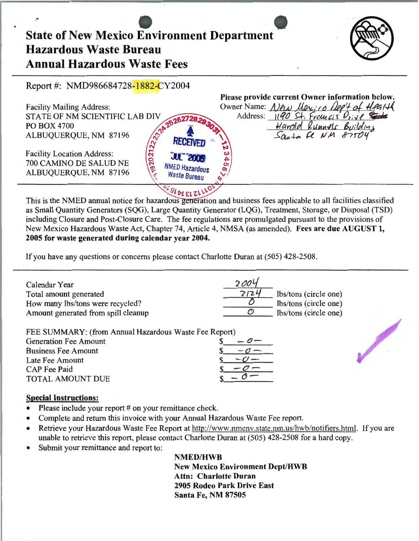# State of New Mexico Environment Department Hazardous Waste Bureau Annual Hazardous Waste Fees



Report #: NMD986684728-1882-CY2004

|                                                                | Please provide current Owner information below. |
|----------------------------------------------------------------|-------------------------------------------------|
| <b>Facility Mailing Address:</b>                               | Owner Name: New Marico Dep't of Health          |
| STATE OF NM SCIENTIFIC LAB DIV                                 | Address: 1190 St. Francis Drive                 |
| <b>PO BOX 4700</b>                                             | Harold Runnels Building                         |
| ALBUQUERQUE, NM 87196<br><b>RECEIVED</b>                       | $S_{\alpha+1}$ fe NM 87504                      |
| <b>Facility Location Address:</b><br><b>JUL 2005</b>           |                                                 |
| 700 CAMINO DE SALUD NE                                         | ഗ                                               |
| <b>NMED Hazardous</b><br>ALBUQUERQUE, NM 87196<br>Waste Bureau | $\bullet$                                       |
| $\mathcal{L}_{\mathcal{L}}$ $\mathcal{L}_{\mathcal{L}}$        |                                                 |

This is the NMED annual notice for hazardous generation and business fees applicable to all facilities classified as Small Quantity Generators (SQG), Large Quantity Generator (LQG), Treatment, Storage, or Disposal (TSD) including Closure and Post-Closure Care. The fee regulations are promulgated pursuant to the provisions of New Mexico Hazardous Waste Act, Chapter 74, Article 4, NMSA (as amended). Fees are due AUGUST 1, 2005 for waste generated during calendar year 2004.

If you have any questions or concerns please contact Charlotte Duran at (505) 428-2508.

| Calendar Year<br>Total amount generated<br>How many lbs/tons were recycled?<br>Amount generated from spill cleanup  | 2004<br>2124<br>lbs/tons (circle one)<br>lbs/tons (circle one)<br>lbs/tons (circle one) |  |
|---------------------------------------------------------------------------------------------------------------------|-----------------------------------------------------------------------------------------|--|
| FEE SUMMARY: (from Annual Hazardous Waste Fee Report)<br><b>Generation Fee Amount</b><br><b>Business Fee Amount</b> |                                                                                         |  |

| <b>Generation Fee Amount</b> |  |
|------------------------------|--|
| <b>Business Fee Amount</b>   |  |
| Late Fee Amount              |  |
| <b>CAP</b> Fee Paid          |  |
| TOTAL AMOUNT DUE             |  |
|                              |  |

### Special Instructions:

- Please include your report # on your remittance check.
- Complete and return this invoice with your Annual Hazardous Waste Fee report.
- Retrieve your Hazardous Waste Fee Report at http://www.nmenv.state.nm.us/hwb/notifiers.html. If you are unable to retrieve this report, please contact Charlotte Duran at (505) 428-2508 for a hard copy.
- Submit your remittance and report to:

NMED/HWB

New Mexico Environment Dept/HWB Attn: Charlotte Duran 2905 Rodeo Park Drive East Santa Fe, NM 87505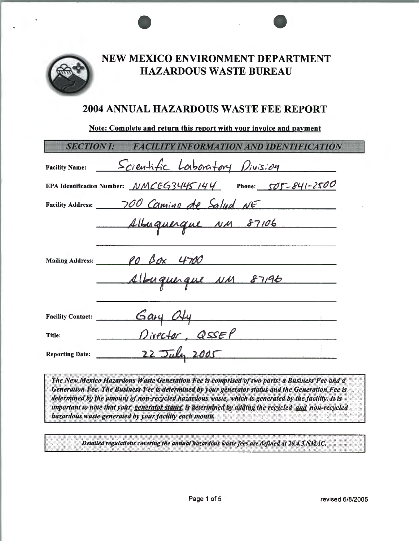

## NEW MEXICO ENVIRONMENT DEPARTMENT **HAZARDOUS WASTE BUREAU**

## **2004 ANNUAL HAZARDOUS WASTE FEE REPORT**

### Note: Complete and return this report with your invoice and payment

| <b>SECTION I:</b>        | <b>FACILITY INFORMATION AND IDENTIFICATION</b>                              |
|--------------------------|-----------------------------------------------------------------------------|
| <b>Facility Name:</b>    | <u>Scientific Laboratory Division</u>                                       |
|                          | EPA Identification Number: $MMCEG3445144$ Phone: 505-841-2500               |
|                          | Facility Address: 700 Camino de Salud NE                                    |
|                          | Albuquerque NM 87106<br>Mailing Address: 20 Box 4700<br>Albuquique NM 87196 |
| <b>Facility Contact:</b> | $G$ ary $O \nmid \psi$                                                      |
| Title:                   | Director, QSSEP                                                             |
| <b>Reporting Date:</b>   | 22 July                                                                     |

The New Mexico Hazardous Waste Generation Fee is comprised of two parts: a Business Fee and a Generation Fee. The Business Fee is determined by your generator status and the Generation Fee is determined by the amount of non-recycled hazardous waste, which is generated by the facility. It is important to note that your generator status is determined by adding the recycled and non-recycled hazardous waste generated by your facility each month.

Detailed regulations covering the annual hazardous waste fees are defined at 20.4.3 NMAC.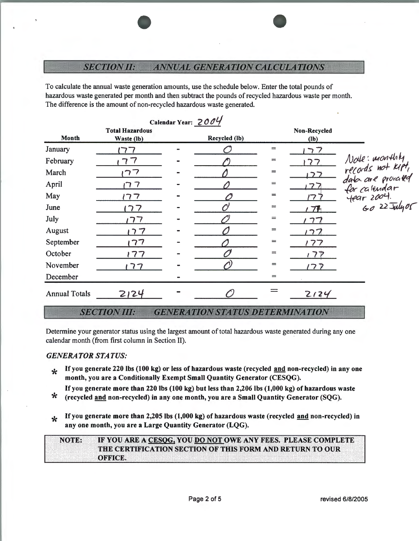### **SECTION II: ANNUAL GENERATION CALCULATIONS**

To calculate the annual waste generation amounts, use the schedule below. Enter the total pounds of hazardous waste generated per month and then subtract the pounds ofrecycled hazardous waste per month. The difference is the amount of non-recycled hazardous waste generated.

|                      |                                      | Calendar Year: 2004 |     |                        |                                                                                      |
|----------------------|--------------------------------------|---------------------|-----|------------------------|--------------------------------------------------------------------------------------|
| <b>Month</b>         | <b>Total Hazardous</b><br>Waste (lb) | Recycled (lb)       |     | Non-Recycled<br>$(lb)$ |                                                                                      |
| January              |                                      |                     | $=$ | フフ                     |                                                                                      |
| February             |                                      |                     | $=$ | 77                     |                                                                                      |
| March                | ワフ                                   |                     | $=$ |                        |                                                                                      |
| April                | ד רו                                 |                     | $=$ | フフ                     | Node: monthly<br>records not KPT,<br>data are proraced<br>for calendar<br>fear 2004. |
| May                  | ハマ                                   |                     | $=$ | <u>ワ.</u>              |                                                                                      |
| June                 | 77                                   |                     | $=$ | 77                     | $6022$ July 05                                                                       |
| July                 | ワフ                                   |                     | $=$ | っつ                     |                                                                                      |
| August               | 77                                   |                     | $=$ | 77                     |                                                                                      |
| September            | 77                                   |                     | $=$ | 77                     |                                                                                      |
| October              | 77                                   |                     | $=$ | 177                    |                                                                                      |
| November             | 77                                   |                     | $=$ | ノフア                    |                                                                                      |
| December             |                                      |                     | $=$ |                        |                                                                                      |
| <b>Annual Totals</b> | 2124                                 |                     |     | 2124                   |                                                                                      |

#### **SECTION III: GENERATION STATUS DETERMINATION**

Determine your generator status using the largest amount of total hazardous waste generated during any one calendar month (from first column in Section II).

### *GENERATOR STATUS:*

\* If you generate 220 lbs (100 kg) or less of hazardous waste (recycled and non-recycled) in any one month, you are a Conditionally Exempt Small Quantity Generator (CESQG).

If you generate more than 220 lbs (100 kg) but less than 2,206 lbs (1,000 kg) of hazardous waste<br>  $\star$  (recycled and non-recycled) in any one month, you are a Small Quantity Generator (SQG).

**\*** If you generate more than 2,205 lbs (1,000 kg) of hazardous waste (recycled and non-recycled) in any one month, you are a Large Quantity Generator (LQG).

IF YOU ARE A CESOG, YOU DO NOT OWE ANY FEES. PLEASE COMPLETE **NOTE:** THE CERTIFICATION SECTION OF THIS FORM AND RETURN TO OUR **ORRIGE.**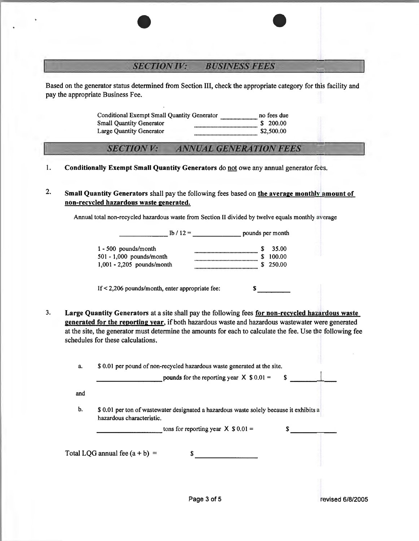### **SECTION IV: BUSINESS FEES**

Based on the generator status determined from Section III, check the appropriate category for this facility and pay the appropriate Business Fee.

> Conditional Exempt Small Quantity Generator .............................. no fees due Small Quantity Generator ................................................... \$ 200.00 Large Quantity Generator ................................................... \$2,500.00

### **ANNUAL GENERATION FEES SECTION V:**

1. Conditionally Exempt Small Quantity Generators do not owe any annual generator fees.

2. Small Quantity Generators shall pay the following fees based on the average monthly amount of non-recycled hazardous waste generated.

Annual total non-recycled hazardous waste from Section II divided by twelve equals monthly average

| $1b / 12 =$                  | pounds per month |        |
|------------------------------|------------------|--------|
| $1 - 500$ pounds/month       | S                | 35.00  |
| $501 - 1,000$ pounds/month   |                  | 100.00 |
| $1,001 - 2,205$ pounds/month |                  | 250.00 |

If  $\leq$  2,206 pounds/month, enter appropriate fee:  $\qquad \qquad$  \$ ----

3. Large Quantity Generators at a site shall pay the following fees for non-recycled hazardous waste generated for the reporting year, if both hazardous waste and hazardous wastewater were generated at the site, the generator must determine the amounts for each to calculate the fee. Use the following fee schedules for these calculations.

| a. | \$ 0.01 per pound of non-recycled hazardous waste generated at the site. |
|----|--------------------------------------------------------------------------|
|    |                                                                          |

|     | pounds for the reporting year $X$ \$ 0.01 =<br>S                                                                     |  |
|-----|----------------------------------------------------------------------------------------------------------------------|--|
|     |                                                                                                                      |  |
| and |                                                                                                                      |  |
|     |                                                                                                                      |  |
| b.  | \$ 0.01 per ton of wastewater designated a hazardous waste solely because it exhibits a<br>hazardous characteristic. |  |
|     |                                                                                                                      |  |
|     | tons for reporting year $X$ \$ 0.01 =                                                                                |  |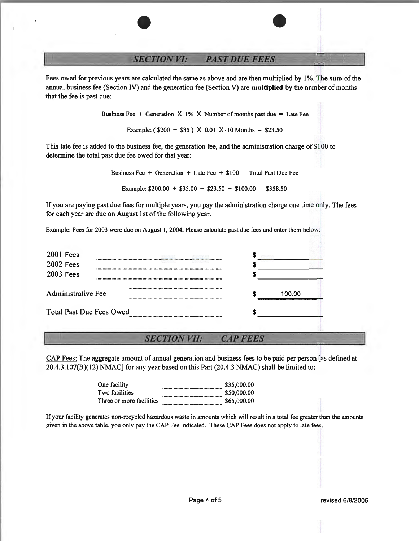#### **SECTION VI: PAST DUE FEES**

Fees owed for previous years are calculated the same as above and are then multiplied by **1** %. The **sum** of the annual business fee (Section IV) and the generation fee (Section V) are **multiplied** by the number of months that the fee is past due:

Business Fee + Generation  $X$  1% X Number of months past due = Late Fee

Example:  $($200 + $35) \times 0.01 \times 10 \text{ months} = $23.50$ 

This late fee is added to the business fee, the generation fee, and the administration charge of\$100 to determine the total past due fee owed for that year:

Business Fee + Generation + Late Fee + \$100 = Total Past Due Fee

Example:  $$200.00 + $35.00 + $23.50 + $100.00 = $358.50$ 

If you are paying past due fees for multiple years, you pay the administration charge one time only. The fees for each year are due on August 1st of the following year.

Example: Fees for 2003 were due on August 1, 2004. Please calculate past due fees and enter them below:

| <b>2001 Fees</b>                                                                                       |        |  |
|--------------------------------------------------------------------------------------------------------|--------|--|
| 2002 Fees                                                                                              |        |  |
| 2003 Fees                                                                                              |        |  |
| IDIOIOFOOIOIOIOFOOIQPOPGPQDEQPISEORPQDDRSHOFOEDERSDRSHOFOOIFQDQDDRSHOFOQI<br><b>Administrative Fee</b> | 100.00 |  |
| <b>Total Past Due Fees Owed</b>                                                                        |        |  |

#### **SECTION VII: CAP FEES**

CAP Fees: The aggregate amount of annual generation and business fees to be paid per person [as defined at 20.4.3.107(8)(12) NMAC] for any year based on this Part (20.4.3 NMAC) shall be limited to:

| One facility             | \$35,000.00 |
|--------------------------|-------------|
| Two facilities           | \$50,000,00 |
| Three or more facilities | \$65,000.00 |

If your facility generates non-recycled hazardous waste in amounts which will result in a total fee greater than the amounts given in the above table, you only pay the CAP Fee indicated. These CAP Fees does not apply to late fees.